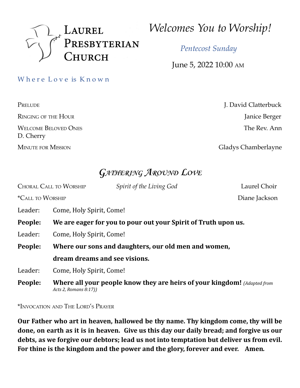

*Welcomes You to Worship!*

*Pentecost Sunday*

June 5, 2022 10:00 AM

Where Love is Known

RINGING OF THE HOUR Janice Berger WELCOME BELOVED ONES **The Rev. Ann** D. Cherry

PRELUDE **J. David Clatterbuck** 

MINUTE FOR MISSION Gladys Chamberlayne

# **GATHERING AROUND LOVE**

CHORAL CALL TO WORSHIP *Spirit of the Living God* Laurel Choir \*CALL TO WORSHIP Diane Jackson Leader: Come, Holy Spirit, Come! **People: We are eager for you to pour out your Spirit of Truth upon us.** Leader: Come, Holy Spirit, Come! **People: Where our sons and daughters, our old men and women, dream dreams and see visions.** Leader: Come, Holy Spirit, Come! **People: Where all your people know they are heirs of your kingdom!** *(Adapted from Acts 2, Romans 8:17))*

\*INVOCATION AND THE LORD'<sup>S</sup> PRAYER

**Our Father who art in heaven, hallowed be thy name. Thy kingdom come, thy will be done, on earth as it is in heaven. Give us this day our daily bread; and forgive us our debts, as we forgive our debtors; lead us not into temptation but deliver us from evil. For thine is the kingdom and the power and the glory, forever and ever. Amen***.*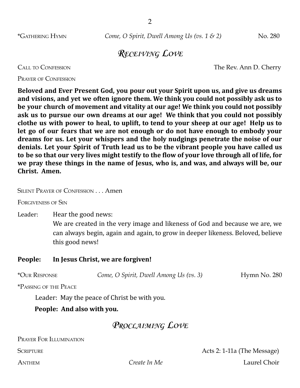\*GATHERING HYMN *Come, O Spirit, Dwell Among Us (vs. 1 & 2)* No. 280

### **RECEIVING LOVE**

CALL TO CONFESSION The Rev. Ann D. Cherry

PRAYER OF CONFESSION

**Beloved and Ever Present God, you pour out your Spirit upon us, and give us dreams and visions, and yet we often ignore them. We think you could not possibly ask us to be your church of movement and vitality at our age! We think you could not possibly ask us to pursue our own dreams at our age! We think that you could not possibly clothe us with power to heal, to uplift, to tend to your sheep at our age! Help us to let go of our fears that we are not enough or do not have enough to embody your dreams for us. Let your whispers and the holy nudgings penetrate the noise of our denials. Let your Spirit of Truth lead us to be the vibrant people you have called us** to be so that our very lives might testify to the flow of your love through all of life, for **we pray these things in the name of Jesus, who is, and was, and always will be, our Christ. Amen.**

SILENT PRAYER OF CONFESSION . . . Amen

FORGIVENESS OF SIN

Leader: Hear the good news:

We are created in the very image and likeness of God and because we are, we can always begin, again and again, to grow in deeper likeness. Beloved, believe this good news!

#### **People: In Jesus Christ, we are forgiven!**

\*OUR RESPONSE *Come, O Spirit, Dwell Among Us (vs. 3)* Hymn No. 280

\*PASSING OF THE PEACE

Leader: May the peace of Christ be with you.

**People: And also with you.**

### **PROCLAIMING LOVE**

PRAYER FOR ILLUMINATION

SCRIPTURE **Acts 2: 1-11a (The Message)** ANTHEM *Create In Me* Laurel Choir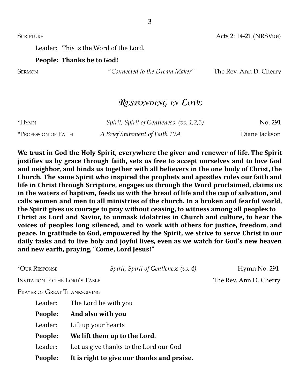SCRIPTURE Acts 2: 14-21 (NRSVue)

Leader: This is the Word of the Lord.

#### **People: Thanks be to God!**

SERMON "*Connected to the Dream Maker"* The Rev. Ann D. Cherry

## **RESPONDING IN LOVE**

| *HYMN                | Spirit, Spirit of Gentleness (vs. 1,2,3) | No. 291       |
|----------------------|------------------------------------------|---------------|
| *Profession of Faith | A Brief Statement of Faith 10.4          | Diane Jackson |

**We trust in God the Holy Spirit, everywhere the giver and renewer of life. The Spirit justifies us by grace through faith, sets us free to accept ourselves and to love God and neighbor, and binds us together with all believers in the one body of Christ, the Church. The same Spirit who inspired the prophets and apostles rules our faith and life in Christ through Scripture, engages us through the Word proclaimed, claims us in the waters of baptism, feeds us with the bread of life and the cup of salvation, and calls women and men to all ministries of the church. In a broken and fearful world, the Spirit gives us courage to pray without ceasing, to witness among all peoples to Christ as Lord and Savior, to unmask idolatries in Church and culture, to hear the voices of peoples long silenced, and to work with others for justice, freedom, and peace. In gratitude to God, empowered by the Spirit, we strive to serve Christ in our daily tasks and to live holy and joyful lives, even as we watch for God's new heaven and new earth, praying, "Come, Lord Jesus!"**

\*OUR RESPONSE *Spirit, Spirit of Gentleness (vs. 4)* Hymn No. 291 INVITATION TO THE LORD'S TABLE THE THE Rev. Ann D. Cherry PRAYER OF GREAT THANKSGIVING Leader: The Lord be with you

| People: | It is right to give our thanks and praise. |
|---------|--------------------------------------------|
| Leader: | Let us give thanks to the Lord our God     |
| People: | We lift them up to the Lord.               |
| Leader: | Lift up your hearts                        |
| People: | And also with you                          |
|         | Leauer. The Lord De With you               |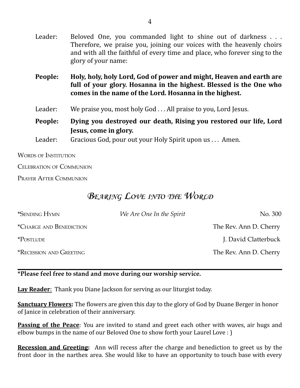| Leader: | Beloved One, you commanded light to shine out of darkness<br>Therefore, we praise you, joining our voices with the heavenly choirs<br>and with all the faithful of every time and place, who forever sing to the<br>glory of your name: |  |
|---------|-----------------------------------------------------------------------------------------------------------------------------------------------------------------------------------------------------------------------------------------|--|
| People: | Holy, holy, holy Lord, God of power and might, Heaven and earth are<br>full of your glory. Hosanna in the highest. Blessed is the One who<br>comes in the name of the Lord. Hosanna in the highest.                                     |  |
| Leader: | We praise you, most holy God All praise to you, Lord Jesus.                                                                                                                                                                             |  |
| People: | Dying you destroyed our death, Rising you restored our life, Lord<br>Jesus, come in glory.                                                                                                                                              |  |
| Leader: | Gracious God, pour out your Holy Spirit upon us  Amen.                                                                                                                                                                                  |  |
|         |                                                                                                                                                                                                                                         |  |

WORDS OF INSTITUTION

CELEBRATION OF COMMUNION

PRAYER AFTER COMMUNION

# **BEARING LOVE INTO THE WORLD**

| *SENDING HYMN                  | We Are One In the Spirit | No. 300                |
|--------------------------------|--------------------------|------------------------|
| <i>*CHARGE AND BENEDICTION</i> |                          | The Rev. Ann D. Cherry |
| <i>*POSTLUDE</i>               |                          | J. David Clatterbuck   |
| <b>*RECESSION AND GREETING</b> |                          | The Rev. Ann D. Cherry |

#### **\*Please feel free to stand and move during our worship service.**

**Lay Reader**: Thank you Diane Jackson for serving as our liturgist today.

**Sanctuary Flowers:** The flowers are given this day to the glory of God by Duane Berger in honor of Janice in celebration of their anniversary.

**Passing of the Peace**: You are invited to stand and greet each other with waves, air hugs and elbow bumps in the name of our Beloved One to show forth your Laurel Love : )

**Recession and Greeting:** Ann will recess after the charge and benediction to greet us by the front door in the narthex area. She would like to have an opportunity to touch base with every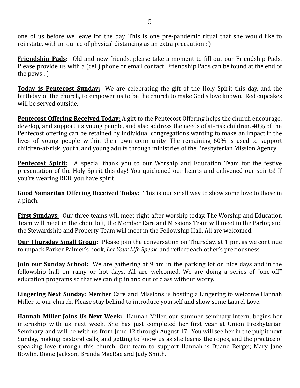one of us before we leave for the day. This is one pre-pandemic ritual that she would like to reinstate, with an ounce of physical distancing as an extra precaution : )

**Friendship Pads:** Old and new friends, please take a moment to fill out our Friendship Pads. Please provide us with a (cell) phone or email contact. Friendship Pads can be found at the end of the pews : )

**Today is Pentecost Sunday:** We are celebrating the gift of the Holy Spirit this day, and the birthday of the church, to empower us to be the church to make God's love known. Red cupcakes will be served outside.

**Pentecost Offering Received Today:** A gift to the Pentecost Offering helps the church encourage, develop, and support its young people, and also address the needs of at-risk children. 40% of the Pentecost offering can be retained by individual congregations wanting to make an impact in the lives of young people within their own community. The remaining 60% is used to support children-at-risk, youth, and young adults through ministries of the Presbyterian Mission Agency.

**Pentecost Spirit:** A special thank you to our Worship and Education Team for the festive presentation of the Holy Spirit this day! You quickened our hearts and enlivened our spirits! If you're wearing RED, you have spirit!

**Good Samaritan Offering Received Today:** This is our small way to show some love to those in a pinch.

**First Sundays:** Our three teams will meet right after worship today. The Worship and Education Team will meet in the choir loft, the Member Care and Missions Team will meet in the Parlor, and the Stewardship and Property Team will meet in the Fellowship Hall. All are welcomed.

**Our Thursday Small Group:** Please join the conversation on Thursday, at 1 pm, as we continue to unpack Parker Palmer's book, *Let Your Life Speak,* and reflect each other's preciousness.

**Join our Sunday School:** We are gathering at 9 am in the parking lot on nice days and in the fellowship hall on rainy or hot days. All are welcomed. We are doing a series of "one-off" education programs so that we can dip in and out of class without worry.

**Lingering Next Sunday**: Member Care and Missions is hosting a Lingering to welcome Hannah Miller to our church. Please stay behind to introduce yourself and show some Laurel Love.

**Hannah Miller Joins Us Next Week:** Hannah Miller, our summer seminary intern, begins her internship with us next week. She has just completed her first year at Union Presbyterian Seminary and will be with us from June 12 through August 17. You will see her in the pulpit next Sunday, making pastoral calls, and getting to know us as she learns the ropes, and the practice of speaking love through this church. Our team to support Hannah is Duane Berger, Mary Jane Bowlin, Diane Jackson, Brenda MacRae and Judy Smith.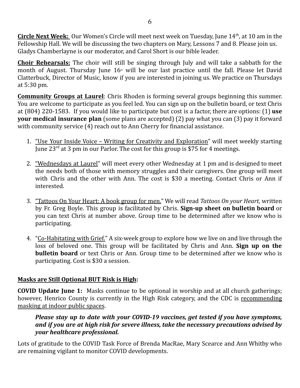**Circle Next Week:** Our Women's Circle will meet next week on Tuesday, June 14 th , at 10 am in the Fellowship Hall. We will be discussing the two chapters on Mary, Lessons 7 and 8. Please join us. Gladys Chamberlayne is our moderator, and Carol Short is our bible leader.

**Choir Rehearsals:** The choir will still be singing through July and will take a sabbath for the month of August. Thursday June  $16<sup>th</sup>$  will be our last practice until the fall. Please let David Clatterbuck, Director of Music, know if you are interested in joining us. We practice on Thursdays at 5:30 pm.

**Community Groups at Laurel**: Chris Rhoden is forming several groups beginning this summer. You are welcome to participate as you feel led. You can sign up on the bulletin board, or text Chris at (804) 220-1583. If you would like to participate but cost is a factor, there are options: (1) **use your medical insurance plan** (some plans are accepted) (2) pay what you can (3) pay it forward with community service (4) reach out to Ann Cherry for financial assistance.

- 1. "Use Your Inside Voice Writing for Creativity and Exploration" will meet weekly starting June 23<sup>rd</sup> at 3 pm in our Parlor. The cost for this group is \$75 for 4 meetings.
- 2. "Wednesdays at Laurel" will meet every other Wednesday at 1 pm and is designed to meet the needs both of those with memory struggles and their caregivers. One group will meet with Chris and the other with Ann. The cost is \$30 a meeting. Contact Chris or Ann if interested.
- 3. "Tattoos On Your Heart: A book group for men." We will read *Tattoos On your Heart,* written by Fr. Greg Boyle. This group is facilitated by Chris. **Sign-up sheet on bulletin board** or you can text Chris at number above. Group time to be determined after we know who is participating.
- 4. "Co-Habitating with Grief." A six-week group to explore how we live on and live through the loss of beloved one. This group will be facilitated by Chris and Ann. **Sign up on the bulletin board** or text Chris or Ann. Group time to be determined after we know who is participating. Cost is \$30 a session.

#### **Masks are Still Optional BUT Risk is High:**

**COVID Update June 1:** Masks continue to be optional in worship and at all church gatherings; however, Henrico County is currently in the High Risk category, and the CDC is recommending masking at indoor public spaces.

*Please stay up to date with your COVID-19 vaccines, get tested if you have symptoms, and if you are at high risk for severe illness, take the necessary precautions advised by your healthcare professional.*

Lots of gratitude to the COVID Task Force of Brenda MacRae, Mary Scearce and Ann Whitby who are remaining vigilant to monitor COVID developments.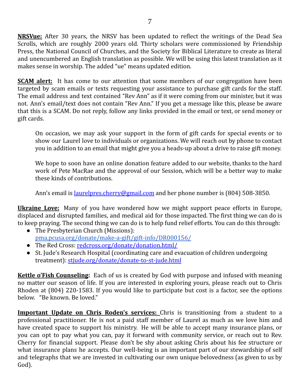**NRSVue:** After 30 years, the NRSV has been updated to reflect the writings of the Dead Sea Scrolls, which are roughly 2000 years old. Thirty scholars were commissioned by Friendship Press, the National Council of Churches, and the Society for Biblical Literature to create as literal and unencumbered an English translation as possible. We will be using this latest translation as it makes sense in worship. The added "ue" means updated edition.

**SCAM alert:** It has come to our attention that some members of our congregation have been targeted by scam emails or texts requesting your assistance to purchase gift cards for the staff. The email address and text contained "Rev Ann" as if it were coming from our minister, but it was not. Ann's email/text does not contain "Rev Ann." If you get a message like this, please be aware that this is a SCAM. Do not reply, follow any links provided in the email or text, or send money or gift cards.

On occasion, we may ask your support in the form of gift cards for special events or to show our Laurel love to individuals or organizations. We will reach out by phone to contact you in addition to an email that might give you a heads-up about a drive to raise gift money.

We hope to soon have an online donation feature added to our website, thanks to the hard work of Pete MacRae and the approval of our Session, which will be a better way to make these kinds of contributions.

Ann's email is <u>[laurelpres.cherry@gmail.com](mailto:laurelpres.cherry@gmail.com)</u> and her phone number is (804) 508-3850.

**Ukraine Love:** Many of you have wondered how we might support peace efforts in Europe, displaced and disrupted families, and medical aid for those impacted. The first thing we can do is to keep praying. The second thing we can do is to help fund relief efforts. You can do this through:

- The Presbyterian Church (Missions): [pma.pcusa.org/donate/make-a-gift/gift-info/DR000156/](https://pma.pcusa.org/donate/make-a-gift/gift-info/DR000156/)
- The Red Cross: [redcross.org/donate/donation.html/](https://www.redcross.org/donate/donation.html/)
- St. Jude's Research Hospital (coordinating care and evacuation of children undergoing treatment): [stjude.org/donate/donate-to-st-jude.html](https://www.stjude.org/donate/donate-to-st-jude.html?sc_icid=home-btn-donate-now)

**Kettle o'Fish Counseling:** Each of us is created by God with purpose and infused with meaning no matter our season of life. If you are interested in exploring yours, please reach out to Chris Rhoden at (804) 220-1583. If you would like to participate but cost is a factor, see the options below. "Be known. Be loved."

**Important Update on Chris Roden's services:** Chris is transitioning from a student to a professional practitioner. He is not a paid staff member of Laurel as much as we love him and have created space to support his ministry. He will be able to accept many insurance plans, or you can opt to pay what you can, pay it forward with community service, or reach out to Rev. Cherry for financial support. Please don't be shy about asking Chris about his fee structure or what insurance plans he accepts. Our well-being is an important part of our stewardship of self and telegraphs that we are invested in cultivating our own unique belovedness (as given to us by God).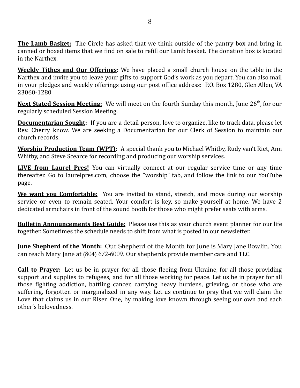**The Lamb Basket:** The Circle has asked that we think outside of the pantry box and bring in canned or boxed items that we find on sale to refill our Lamb basket. The donation box is located in the Narthex.

**Weekly Tithes and Our Offerings**: We have placed a small church house on the table in the Narthex and invite you to leave your gifts to support God's work as you depart. You can also mail in your pledges and weekly offerings using our post office address: P.O. Box 1280, Glen Allen, VA 23060-1280

Next Stated Session Meeting: We will meet on the fourth Sunday this month, June 26<sup>th</sup>, for our regularly scheduled Session Meeting.

**Documentarian Sought:** If you are a detail person, love to organize, like to track data, please let Rev. Cherry know. We are seeking a Documentarian for our Clerk of Session to maintain our church records.

**Worship Production Team (WPT)**: A special thank you to Michael Whitby, Rudy van't Riet, Ann Whitby, and Steve Scearce for recording and producing our worship services.

**LIVE from Laurel Pres!** You can virtually connect at our regular service time or any time thereafter. Go to laurelpres.com, choose the "worship" tab, and follow the link to our YouTube page.

**We want you Comfortable:** You are invited to stand, stretch, and move during our worship service or even to remain seated. Your comfort is key, so make yourself at home. We have 2 dedicated armchairs in front of the sound booth for those who might prefer seats with arms.

**Bulletin Announcements Best Guide:** Please use this as your church event planner for our life together. Sometimes the schedule needs to shift from what is posted in our newsletter.

**June Shepherd of the Month:** Our Shepherd of the Month for June is Mary Jane Bowlin. You can reach Mary Jane at (804) 672-6009. Our shepherds provide member care and TLC.

**Call to Prayer:** Let us be in prayer for all those fleeing from Ukraine, for all those providing support and supplies to refugees, and for all those working for peace. Let us be in prayer for all those fighting addiction, battling cancer, carrying heavy burdens, grieving, or those who are suffering, forgotten or marginalized in any way. Let us continue to pray that we will claim the Love that claims us in our Risen One, by making love known through seeing our own and each other's belovedness.